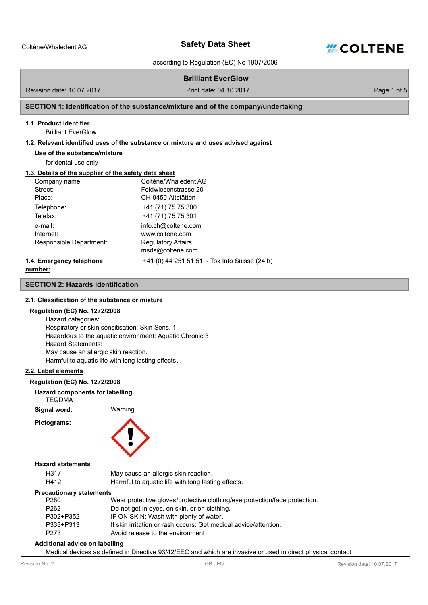

according to Regulation (EC) No 1907/2006

# **Brilliant EverGlow**

Revision date: 10.07.2017 Print date: 04.10.2017

Page 1 of 5

# **SECTION 1: Identification of the substance/mixture and of the company/undertaking**

# **1.1. Product identifier**

Brilliant EverGlow

# **1.2. Relevant identified uses of the substance or mixture and uses advised against**

**Use of the substance/mixture**

for dental use only

#### **1.3. Details of the supplier of the safety data sheet**

| Company name:            | Coltène/Whaledent AG                          |
|--------------------------|-----------------------------------------------|
| Street:                  | Feldwiesenstrasse 20                          |
| Place:                   | CH-9450 Altstätten                            |
| Telephone:               | +41 (71) 75 75 300                            |
| Telefax:                 | +41 (71) 75 75 301                            |
| e-mail:                  | info.ch@coltene.com                           |
| Internet:                | www.coltene.com                               |
| Responsible Department:  | <b>Regulatory Affairs</b>                     |
|                          | msds@coltene.com                              |
| 1.4. Emergency telephone | +41 (0) 44 251 51 51 - Tox Info Suisse (24 h) |
|                          |                                               |

**number:**

#### **SECTION 2: Hazards identification**

#### **2.1. Classification of the substance or mixture**

#### **Regulation (EC) No. 1272/2008**

Hazard categories: Respiratory or skin sensitisation: Skin Sens. 1 Hazardous to the aquatic environment: Aquatic Chronic 3 Hazard Statements: May cause an allergic skin reaction. Harmful to aquatic life with long lasting effects.

#### **2.2. Label elements**

#### **Regulation (EC) No. 1272/2008**

#### **Hazard components for labelling TEGDMA**

**Signal word:** Warning

**Pictograms:**



#### **Hazard statements**

| H317 | May cause an allergic skin reaction.               |
|------|----------------------------------------------------|
| H412 | Harmful to aquatic life with long lasting effects. |

# **Precautionary statements**

| P280             | Wear protective gloves/protective clothing/eye protection/face protection. |
|------------------|----------------------------------------------------------------------------|
| P <sub>262</sub> | Do not get in eyes, on skin, or on clothing.                               |
| P302+P352        | IF ON SKIN: Wash with plenty of water.                                     |
| P333+P313        | If skin irritation or rash occurs: Get medical advice/attention.           |
| P273             | Avoid release to the environment.                                          |

#### **Additional advice on labelling**

Medical devices as defined in Directive 93/42/EEC and which are invasive or used in direct physical contact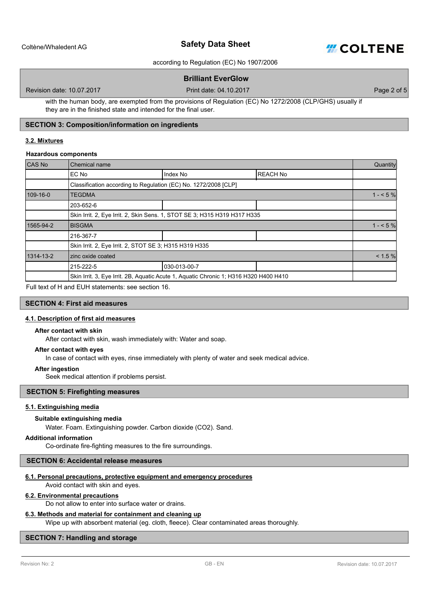

according to Regulation (EC) No 1907/2006

# **Brilliant EverGlow**

Revision date: 10.07.2017 Print date: 04.10.2017

Page 2 of 5

with the human body, are exempted from the provisions of Regulation (EC) No 1272/2008 (CLP/GHS) usually if they are in the finished state and intended for the final user.

# **SECTION 3: Composition/information on ingredients**

#### **3.2. Mixtures**

#### **Hazardous components**

| CAS No    | Chemical name                                                                         |              |                 | Quantity  |
|-----------|---------------------------------------------------------------------------------------|--------------|-----------------|-----------|
|           | EC No                                                                                 | Index No     | <b>REACH No</b> |           |
|           | Classification according to Regulation (EC) No. 1272/2008 [CLP]                       |              |                 |           |
| 109-16-0  | <b>TEGDMA</b>                                                                         |              |                 | $1 - 5%$  |
|           | 203-652-6                                                                             |              |                 |           |
|           | Skin Irrit. 2, Eye Irrit. 2, Skin Sens. 1, STOT SE 3; H315 H319 H317 H335             |              |                 |           |
| 1565-94-2 | <b>BISGMA</b>                                                                         |              |                 | $1 - 5\%$ |
|           | 216-367-7                                                                             |              |                 |           |
|           | Skin Irrit. 2, Eye Irrit. 2, STOT SE 3; H315 H319 H335                                |              |                 |           |
| 1314-13-2 | zinc oxide coated                                                                     |              |                 | < 1.5 %   |
|           | 215-222-5                                                                             | 030-013-00-7 |                 |           |
|           | Skin Irrit. 3, Eye Irrit. 2B, Aquatic Acute 1, Aquatic Chronic 1; H316 H320 H400 H410 |              |                 |           |

Full text of H and EUH statements: see section 16.

# **SECTION 4: First aid measures**

#### **4.1. Description of first aid measures**

# **After contact with skin**

After contact with skin, wash immediately with: Water and soap.

# **After contact with eyes**

In case of contact with eyes, rinse immediately with plenty of water and seek medical advice.

#### **After ingestion**

Seek medical attention if problems persist.

# **SECTION 5: Firefighting measures**

#### **5.1. Extinguishing media**

#### **Suitable extinguishing media**

Water. Foam. Extinguishing powder. Carbon dioxide (CO2). Sand.

# **Additional information**

Co-ordinate fire-fighting measures to the fire surroundings.

#### **SECTION 6: Accidental release measures**

# **6.1. Personal precautions, protective equipment and emergency procedures**

Avoid contact with skin and eyes.

#### **6.2. Environmental precautions**

Do not allow to enter into surface water or drains.

#### **6.3. Methods and material for containment and cleaning up**

Wipe up with absorbent material (eg. cloth, fleece). Clear contaminated areas thoroughly.

# **SECTION 7: Handling and storage**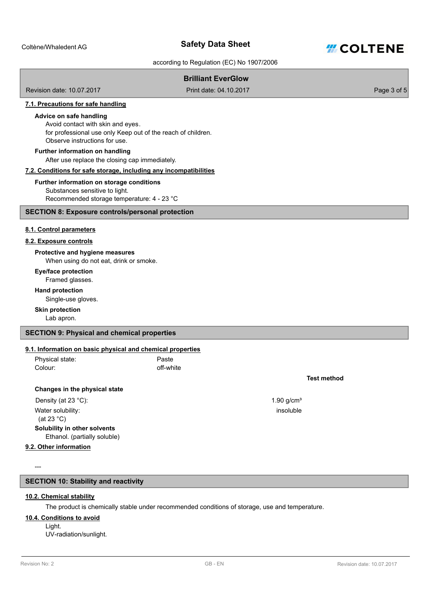

#### according to Regulation (EC) No 1907/2006

# **Brilliant EverGlow**

Revision date: 10.07.2017 Print date: 04.10.2017

Page 3 of 5

# **7.1. Precautions for safe handling**

#### **Advice on safe handling**

Avoid contact with skin and eyes. for professional use only Keep out of the reach of children. Observe instructions for use.

# **Further information on handling**

After use replace the closing cap immediately.

#### **7.2. Conditions for safe storage, including any incompatibilities**

#### Substances sensitive to light. **Further information on storage conditions**

Recommended storage temperature: 4 - 23 °C

#### **SECTION 8: Exposure controls/personal protection**

#### **8.1. Control parameters**

#### **8.2. Exposure controls**

# **Protective and hygiene measures**

When using do not eat, drink or smoke.

# **Eye/face protection**

Framed glasses.

# **Hand protection**

Single-use gloves.

#### **Skin protection**

Lab apron.

#### **SECTION 9: Physical and chemical properties**

# **9.1. Information on basic physical and chemical properties**

| Physical state: | Paste     |
|-----------------|-----------|
| Colour:         | off-white |

#### **Changes in the physical state**

Density (at 23 °C):  $1.90 \text{ g/cm}^3$ Water solubility: (at 23 °C) **Solubility in other solvents** Ethanol. (partially soluble)

# **9.2. Other information**

---

# **SECTION 10: Stability and reactivity**

# **10.2. Chemical stability**

The product is chemically stable under recommended conditions of storage, use and temperature.

# **10.4. Conditions to avoid**

Light. UV-radiation/sunlight.

# **Test method**

insoluble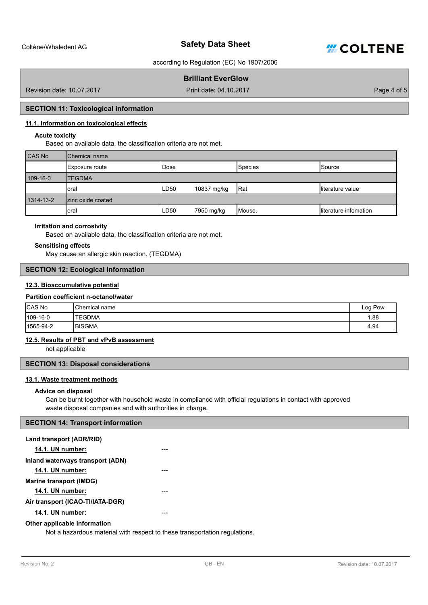

# **Brilliant EverGlow**

Revision date: 10.07.2017 Print date: 04.10.2017

Page 4 of 5

# **SECTION 11: Toxicological information**

# **11.1. Information on toxicological effects**

# **Acute toxicity**

Based on available data, the classification criteria are not met.

| <b>CAS No</b> | Chemical name      |                  |             |            |                       |
|---------------|--------------------|------------------|-------------|------------|-----------------------|
|               | Exposure route     | <b>IDose</b>     |             | Species    | <b>Source</b>         |
| 109-16-0      | <b>TEGDMA</b>      |                  |             |            |                       |
|               | loral              | LD <sub>50</sub> | 10837 mg/kg | <b>Rat</b> | literature value      |
| 1314-13-2     | Izinc oxide coated |                  |             |            |                       |
|               | loral              | LD <sub>50</sub> | 7950 mg/kg  | Mouse.     | literature infomation |

# **Irritation and corrosivity**

Based on available data, the classification criteria are not met.

#### **Sensitising effects**

May cause an allergic skin reaction. (TEGDMA)

# **SECTION 12: Ecological information**

# **12.3. Bioaccumulative potential**

#### **Partition coefficient n-octanol/water**

| CAS No       | <b>I</b> Chemical name | Log Pow |
|--------------|------------------------|---------|
| $ 109-16-0 $ | 'TEGDMA                | 1.88    |
| 1565-94-2    | <b>IBISGMA</b>         | 4.94    |

# **12.5. Results of PBT and vPvB assessment**

not applicable

# **SECTION 13: Disposal considerations**

# **13.1. Waste treatment methods**

#### **Advice on disposal**

Can be burnt together with household waste in compliance with official regulations in contact with approved waste disposal companies and with authorities in charge.

# **SECTION 14: Transport information**

| Land transport (ADR/RID)         |  |
|----------------------------------|--|
| <b>14.1. UN number:</b>          |  |
| Inland waterways transport (ADN) |  |
| 14.1. UN number:                 |  |
| Marine transport (IMDG)          |  |
| <b>14.1. UN number:</b>          |  |
| Air transport (ICAO-TI/IATA-DGR) |  |
| 14.1. UN number:                 |  |
| Other applicable information     |  |

Not a hazardous material with respect to these transportation regulations.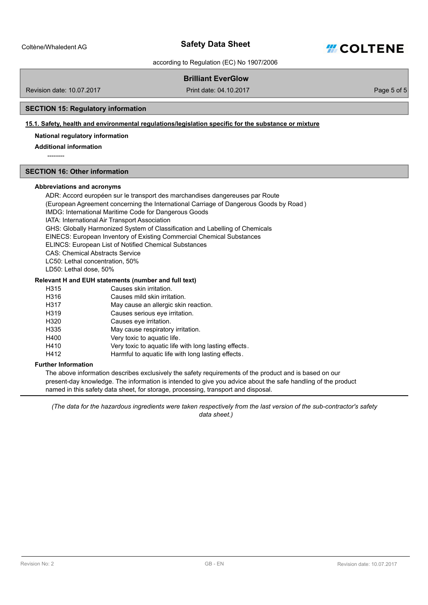

according to Regulation (EC) No 1907/2006

# **Brilliant EverGlow**

Revision date: 10.07.2017 Print date: 04.10.2017

Page 5 of 5

# **SECTION 15: Regulatory information**

# **15.1. Safety, health and environmental regulations/legislation specific for the substance or mixture**

# **National regulatory information**

**Additional information**

--------

#### **SECTION 16: Other information**

#### **Abbreviations and acronyms**

ADR: Accord européen sur le transport des marchandises dangereuses par Route (European Agreement concerning the International Carriage of Dangerous Goods by Road ) IMDG: International Maritime Code for Dangerous Goods IATA: International Air Transport Association GHS: Globally Harmonized System of Classification and Labelling of Chemicals EINECS: European Inventory of Existing Commercial Chemical Substances ELINCS: European List of Notified Chemical Substances CAS: Chemical Abstracts Service LC50: Lethal concentration, 50% LD50: Lethal dose, 50% H315 Causes skin irritation. **Relevant H and EUH statements (number and full text)**

| H315 | Causes skin irritation.                               |
|------|-------------------------------------------------------|
| H316 | Causes mild skin irritation.                          |
| H317 | May cause an allergic skin reaction.                  |
| H319 | Causes serious eve irritation.                        |
| H320 | Causes eve irritation.                                |
| H335 | May cause respiratory irritation.                     |
| H400 | Very toxic to aquatic life.                           |
| H410 | Very toxic to aquatic life with long lasting effects. |
| H412 | Harmful to aquatic life with long lasting effects.    |

#### **Further Information**

The above information describes exclusively the safety requirements of the product and is based on our present-day knowledge. The information is intended to give you advice about the safe handling of the product named in this safety data sheet, for storage, processing, transport and disposal.

*(The data for the hazardous ingredients were taken respectively from the last version of the sub-contractor's safety data sheet.)*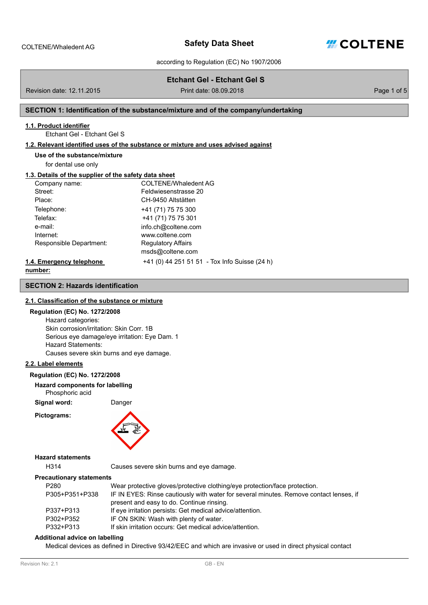

Page 1 of 5

according to Regulation (EC) No 1907/2006

|                                                        | Etchant Gel - Etchant Gel S                                                        |
|--------------------------------------------------------|------------------------------------------------------------------------------------|
| Revision date: 12.11.2015                              | Print date: 08.09.2018                                                             |
|                                                        |                                                                                    |
|                                                        | SECTION 1: Identification of the substance/mixture and of the company/undertaking  |
| 1.1. Product identifier<br>Ftchant Gel - Ftchant Gel S |                                                                                    |
|                                                        | 1.2. Relevant identified uses of the substance or mixture and uses advised against |
| Use of the substance/mixture                           |                                                                                    |
| for dental use only                                    |                                                                                    |
| 1.3. Details of the supplier of the safety data sheet  |                                                                                    |
| Company name:                                          | COI TENE/Whaledent AG                                                              |
| Street:                                                | Feldwiesenstrasse 20                                                               |
| Place:                                                 | CH-9450 Altstätten                                                                 |
| Telephone:                                             | +41 (71) 75 75 300                                                                 |
| Telefax:                                               | +41 (71) 75 75 301                                                                 |
| e-mail:                                                | info.ch@coltene.com                                                                |
| Internet:                                              | www.coltene.com                                                                    |
| Responsible Department:                                | <b>Regulatory Affairs</b>                                                          |
|                                                        | msds@coltene.com                                                                   |
| 1.4. Emergency telephone                               | +41 (0) 44 251 51 51 - Tox Info Suisse (24 h)                                      |
| number:                                                |                                                                                    |
| <b>SECTION 2: Hazards identification</b>               |                                                                                    |
| 2.1. Classification of the substance or mixture        |                                                                                    |

# **Regulation (EC) No. 1272/2008**

Hazard categories: Skin corrosion/irritation: Skin Corr. 1B Serious eye damage/eye irritation: Eye Dam. 1 Hazard Statements: Causes severe skin burns and eye damage.

# **2.2. Label elements**

#### **Regulation (EC) No. 1272/2008**

**Hazard components for labelling**

Phosphoric acid

**Signal word:** Danger

**Pictograms:**



# **Hazard statements**

H314 Causes severe skin burns and eye damage.

# **Precautionary statements**

| P280           | Wear protective gloves/protective clothing/eye protection/face protection.             |
|----------------|----------------------------------------------------------------------------------------|
| P305+P351+P338 | IF IN EYES: Rinse cautiously with water for several minutes. Remove contact lenses, if |
|                | present and easy to do. Continue rinsing.                                              |
| P337+P313      | If eye irritation persists: Get medical advice/attention.                              |
| P302+P352      | IF ON SKIN: Wash with plenty of water.                                                 |
| P332+P313      | If skin irritation occurs: Get medical advice/attention.                               |
|                |                                                                                        |

# **Additional advice on labelling**

Medical devices as defined in Directive 93/42/EEC and which are invasive or used in direct physical contact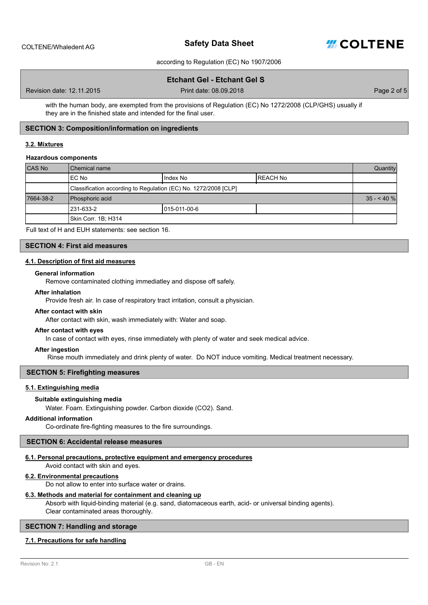

# **Etchant Gel - Etchant Gel S**

Revision date: 12.11.2015

Print date: 08.09.2018 **Print date:** 08.09.2018

with the human body, are exempted from the provisions of Regulation (EC) No 1272/2008 (CLP/GHS) usually if they are in the finished state and intended for the final user.

# **SECTION 3: Composition/information on ingredients**

# **3.2. Mixtures**

#### **Hazardous components**

| CAS No    | Chemical name                                                   |               |           | Quantity    |
|-----------|-----------------------------------------------------------------|---------------|-----------|-------------|
|           | EC No                                                           | Index No      | IREACH No |             |
|           | Classification according to Regulation (EC) No. 1272/2008 [CLP] |               |           |             |
| 7664-38-2 | Phosphoric acid                                                 |               |           | $35 - 40$ % |
|           | l231-633-2                                                      | 1015-011-00-6 |           |             |
|           | Skin Corr. 1B; H314                                             |               |           |             |

Full text of H and EUH statements: see section 16.

#### **SECTION 4: First aid measures**

# **4.1. Description of first aid measures**

#### **General information**

Remove contaminated clothing immediatley and dispose off safely.

#### **After inhalation**

Provide fresh air. In case of respiratory tract irritation, consult a physician.

#### **After contact with skin**

After contact with skin, wash immediately with: Water and soap.

#### **After contact with eyes**

In case of contact with eyes, rinse immediately with plenty of water and seek medical advice.

#### **After ingestion**

Rinse mouth immediately and drink plenty of water. Do NOT induce vomiting. Medical treatment necessary.

# **SECTION 5: Firefighting measures**

#### **5.1. Extinguishing media**

#### **Suitable extinguishing media**

Water. Foam. Extinguishing powder. Carbon dioxide (CO2). Sand.

#### **Additional information**

Co-ordinate fire-fighting measures to the fire surroundings.

# **SECTION 6: Accidental release measures**

# **6.1. Personal precautions, protective equipment and emergency procedures**

Avoid contact with skin and eyes.

# **6.2. Environmental precautions**

Do not allow to enter into surface water or drains.

# **6.3. Methods and material for containment and cleaning up**

Absorb with liquid-binding material (e.g. sand, diatomaceous earth, acid- or universal binding agents). Clear contaminated areas thoroughly.

#### **SECTION 7: Handling and storage**

#### **7.1. Precautions for safe handling**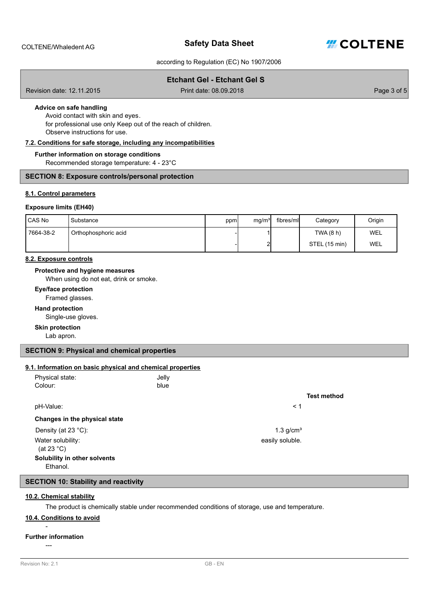

# **Etchant Gel - Etchant Gel S**

Revision date: 12.11.2015

Print date: 08.09.2018 **Print date:** 08.09.2018

# **Advice on safe handling**

Avoid contact with skin and eyes. for professional use only Keep out of the reach of children. Observe instructions for use.

# **7.2. Conditions for safe storage, including any incompatibilities**

#### **Further information on storage conditions**

Recommended storage temperature: 4 - 23°C

# **SECTION 8: Exposure controls/personal protection**

#### **8.1. Control parameters**

#### **Exposure limits (EH40)**

| CAS No    | Substance            | ppm | mg/m <sup>3</sup> | fibres/ml | Category      | Origin |
|-----------|----------------------|-----|-------------------|-----------|---------------|--------|
| 7664-38-2 | Orthophosphoric acid |     |                   |           | TWA (8 h)     | WEL    |
|           |                      |     | ີ                 |           | STEL (15 min) | WEL    |

#### **8.2. Exposure controls**

#### **Protective and hygiene measures**

When using do not eat, drink or smoke.

#### **Eye/face protection**

Framed glasses.

#### **Hand protection**

Single-use gloves.

# **Skin protection**

Lab apron.

# **SECTION 9: Physical and chemical properties**

#### **9.1. Information on basic physical and chemical properties**

| Physical state: | Jelly |
|-----------------|-------|
| Colour:         | blue  |

# pH-Value: < 1

#### **Changes in the physical state**

Density (at 23 °C): 1.3 g/cm<sup>3</sup>

Water solubility:

(at 23 °C)

# **Solubility in other solvents**

Ethanol.

# **SECTION 10: Stability and reactivity**

#### **10.2. Chemical stability**

The product is chemically stable under recommended conditions of storage, use and temperature.

# **10.4. Conditions to avoid**

-

# **Further information**

---

#### **Test method**

easily soluble.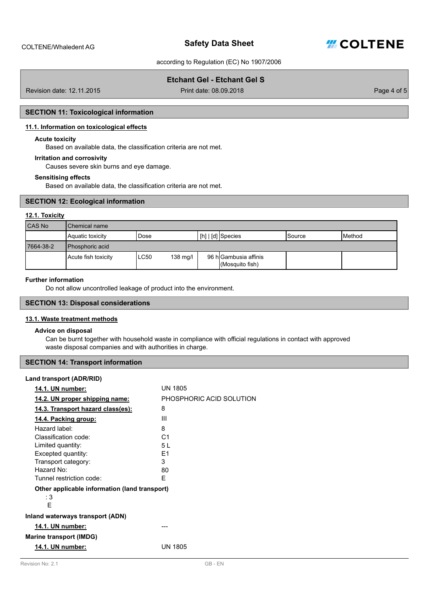

# **Etchant Gel - Etchant Gel S**

Revision date: 12.11.2015

Print date: 08.09.2018 **Prince 2018 Page 4 of 5** 

# **SECTION 11: Toxicological information**

#### **11.1. Information on toxicological effects**

#### **Acute toxicity**

Based on available data, the classification criteria are not met.

#### **Irritation and corrosivity**

Causes severe skin burns and eye damage.

#### **Sensitising effects**

Based on available data, the classification criteria are not met.

#### **SECTION 12: Ecological information**

#### **12.1. Toxicity**

| CAS No    | Chemical name            |                            |  |                                          |                 |                |
|-----------|--------------------------|----------------------------|--|------------------------------------------|-----------------|----------------|
|           | Aquatic toxicity         | Dose                       |  | $\lfloor$ [h] $\lfloor$ [d] Species      | <b>I</b> Source | <b>IMethod</b> |
| 7664-38-2 | <b>I</b> Phosphoric acid |                            |  |                                          |                 |                |
|           | Acute fish toxicity      | LC50<br>$138 \text{ mg/l}$ |  | 96 h Gambusia affinis<br>(Mosquito fish) |                 |                |

# **Further information**

Do not allow uncontrolled leakage of product into the environment.

# **SECTION 13: Disposal considerations**

# **13.1. Waste treatment methods**

#### **Advice on disposal**

Can be burnt together with household waste in compliance with official regulations in contact with approved waste disposal companies and with authorities in charge.

# **SECTION 14: Transport information**

#### **Land transport (ADR/RID)**

| 14.1. UN number:                              | <b>UN 1805</b>           |
|-----------------------------------------------|--------------------------|
| 14.2. UN proper shipping name:                | PHOSPHORIC ACID SOLUTION |
| 14.3. Transport hazard class(es):             | 8                        |
| 14.4. Packing group:                          | Ш                        |
| Hazard label:                                 | 8                        |
| Classification code:                          | C <sub>1</sub>           |
| Limited quantity:                             | 5 L                      |
| Excepted quantity:                            | E1                       |
| Transport category:                           | 3                        |
| Hazard No:                                    | 80                       |
| Tunnel restriction code:                      | F                        |
| Other applicable information (land transport) |                          |
| : 3                                           |                          |
| F                                             |                          |
| Inland waterways transport (ADN)              |                          |
| 14.1. UN number:                              |                          |
| <b>Marine transport (IMDG)</b>                |                          |
| 14.1. UN number:                              | UN 1805                  |
|                                               |                          |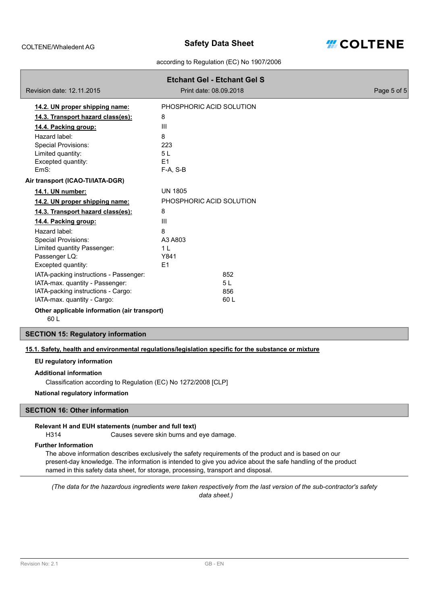

|                                                     | <b>Etchant Gel - Etchant Gel S</b> |             |
|-----------------------------------------------------|------------------------------------|-------------|
| Revision date: 12.11.2015                           | Print date: 08.09.2018             | Page 5 of 5 |
| 14.2. UN proper shipping name:                      | PHOSPHORIC ACID SOLUTION           |             |
| 14.3. Transport hazard class(es):                   | 8                                  |             |
| 14.4. Packing group:                                | Ш                                  |             |
| Hazard label:                                       | 8                                  |             |
| <b>Special Provisions:</b>                          | 223                                |             |
| Limited quantity:                                   | 5 L                                |             |
| Excepted quantity:                                  | E <sub>1</sub>                     |             |
| EmS:                                                | F-A, S-B                           |             |
| Air transport (ICAO-TI/IATA-DGR)                    |                                    |             |
| 14.1. UN number:                                    | <b>UN 1805</b>                     |             |
| 14.2. UN proper shipping name:                      | PHOSPHORIC ACID SOLUTION           |             |
| 14.3. Transport hazard class(es):                   | 8                                  |             |
| 14.4. Packing group:                                | Ш                                  |             |
| Hazard label:                                       | 8                                  |             |
| <b>Special Provisions:</b>                          | A3 A803                            |             |
| Limited quantity Passenger:                         | 1 <sub>L</sub>                     |             |
| Passenger LQ:                                       | Y841                               |             |
| Excepted quantity:                                  | E <sub>1</sub>                     |             |
| IATA-packing instructions - Passenger:              | 852                                |             |
| IATA-max. quantity - Passenger:                     | 5L                                 |             |
| IATA-packing instructions - Cargo:                  | 856                                |             |
| IATA-max. quantity - Cargo:                         | 60 L                               |             |
| Other applicable information (air transport)<br>60L |                                    |             |

# **SECTION 15: Regulatory information**

#### **15.1. Safety, health and environmental regulations/legislation specific for the substance or mixture**

#### **EU regulatory information**

#### **Additional information**

Classification according to Regulation (EC) No 1272/2008 [CLP]

# **National regulatory information**

# **SECTION 16: Other information**

# **Relevant H and EUH statements (number and full text)**

H314 Causes severe skin burns and eye damage.

# **Further Information**

The above information describes exclusively the safety requirements of the product and is based on our present-day knowledge. The information is intended to give you advice about the safe handling of the product named in this safety data sheet, for storage, processing, transport and disposal.

*(The data for the hazardous ingredients were taken respectively from the last version of the sub-contractor's safety data sheet.)*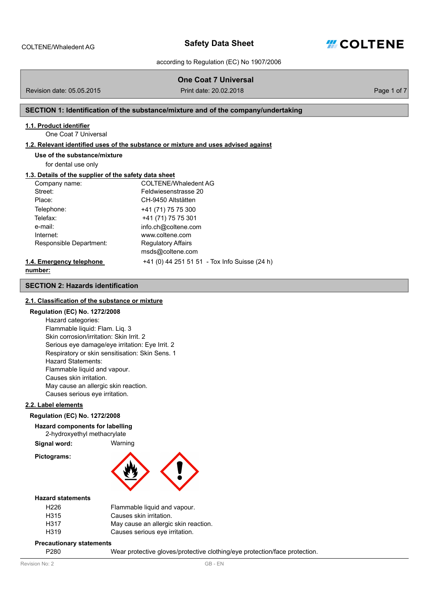

Page 1 of 7

according to Regulation (EC) No 1907/2006

|                                                       | <b>One Coat 7 Universal</b>                                                        |
|-------------------------------------------------------|------------------------------------------------------------------------------------|
| Revision date: 05.05.2015                             | Print date: 20.02.2018                                                             |
|                                                       | SECTION 1: Identification of the substance/mixture and of the company/undertaking  |
| 1.1. Product identifier                               |                                                                                    |
| One Coat 7 Universal                                  |                                                                                    |
|                                                       | 1.2. Relevant identified uses of the substance or mixture and uses advised against |
| Use of the substance/mixture                          |                                                                                    |
| for dental use only                                   |                                                                                    |
| 1.3. Details of the supplier of the safety data sheet |                                                                                    |
| Company name:                                         | <b>COLTENE/Whaledent AG</b>                                                        |
| Street:                                               | Feldwiesenstrasse 20                                                               |
| Place:                                                | CH-9450 Altstätten                                                                 |
| Telephone:                                            | +41 (71) 75 75 300                                                                 |
| Telefax:                                              | +41 (71) 75 75 301                                                                 |
| e-mail:                                               | info.ch@coltene.com                                                                |
| Internet:                                             | www.coltene.com                                                                    |
| Responsible Department:                               | <b>Regulatory Affairs</b>                                                          |
|                                                       | msds@coltene.com                                                                   |
| 1.4. Emergency telephone                              | +41 (0) 44 251 51 51 - Tox Info Suisse (24 h)                                      |
| number:                                               |                                                                                    |
| <b>SECTION 2: Hazards identification</b>              |                                                                                    |

# **2.1. Classification of the substance or mixture**

# **Regulation (EC) No. 1272/2008**

Hazard categories: Flammable liquid: Flam. Liq. 3 Skin corrosion/irritation: Skin Irrit. 2 Serious eye damage/eye irritation: Eye Irrit. 2 Respiratory or skin sensitisation: Skin Sens. 1 Hazard Statements: Flammable liquid and vapour. Causes skin irritation. May cause an allergic skin reaction. Causes serious eye irritation.

# **2.2. Label elements**

# **Regulation (EC) No. 1272/2008**

**Hazard components for labelling**

2-hydroxyethyl methacrylate

**Signal word:** Warning

**Pictograms:**



#### **Hazard statements**

| Flammable liquid and vapour.         |
|--------------------------------------|
| Causes skin irritation.              |
| May cause an allergic skin reaction. |
| Causes serious eye irritation.       |
|                                      |

#### **Precautionary statements**

P280 Wear protective gloves/protective clothing/eye protection/face protection.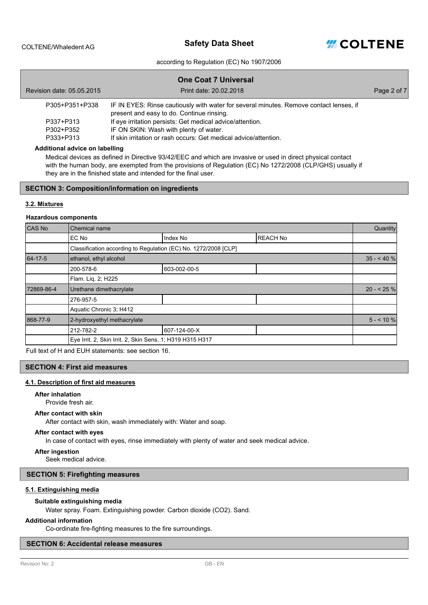**Safety Data Sheet** COLTENE/Whaledent AG



#### according to Regulation (EC) No 1907/2006

|                           | <b>One Coat 7 Universal</b>                                                                                                         |             |
|---------------------------|-------------------------------------------------------------------------------------------------------------------------------------|-------------|
| Revision date: 05.05.2015 | Print date: 20.02.2018                                                                                                              | Page 2 of 7 |
| P305+P351+P338            | IF IN EYES: Rinse cautiously with water for several minutes. Remove contact lenses, if<br>present and easy to do. Continue rinsing. |             |
| P337+P313                 | If eye irritation persists: Get medical advice/attention.                                                                           |             |
| P302+P352                 | IF ON SKIN: Wash with plenty of water.                                                                                              |             |
| P333+P313                 | If skin irritation or rash occurs: Get medical advice/attention.                                                                    |             |

#### **Additional advice on labelling**

Medical devices as defined in Directive 93/42/EEC and which are invasive or used in direct physical contact with the human body, are exempted from the provisions of Regulation (EC) No 1272/2008 (CLP/GHS) usually if they are in the finished state and intended for the final user.

#### **SECTION 3: Composition/information on ingredients**

#### **3.2. Mixtures**

#### **Hazardous components**

| CAS No     | Chemical name                                                   |              |                 | Quantity   |
|------------|-----------------------------------------------------------------|--------------|-----------------|------------|
|            | EC No                                                           | Index No     | <b>REACH No</b> |            |
|            | Classification according to Regulation (EC) No. 1272/2008 [CLP] |              |                 |            |
| 64-17-5    | ethanol, ethyl alcohol                                          |              |                 | $35 - 40%$ |
|            | 200-578-6                                                       | 603-002-00-5 |                 |            |
|            | Flam. Lig. 2; H225                                              |              |                 |            |
| 72869-86-4 | Urethane dimethacrylate                                         |              |                 | $20 - 25%$ |
|            | 276-957-5                                                       |              |                 |            |
|            | Aquatic Chronic 3: H412                                         |              |                 |            |
| 868-77-9   | 2-hydroxyethyl methacrylate                                     |              |                 | $5 - 10\%$ |
|            | 212-782-2                                                       | 607-124-00-X |                 |            |
|            | Eye Irrit. 2, Skin Irrit. 2, Skin Sens. 1; H319 H315 H317       |              |                 |            |

Full text of H and EUH statements: see section 16.

#### **SECTION 4: First aid measures**

# **4.1. Description of first aid measures**

#### **After inhalation**

Provide fresh air.

#### **After contact with skin**

After contact with skin, wash immediately with: Water and soap.

#### **After contact with eyes**

In case of contact with eyes, rinse immediately with plenty of water and seek medical advice.

#### **After ingestion**

Seek medical advice.

#### **SECTION 5: Firefighting measures**

#### **5.1. Extinguishing media**

#### **Suitable extinguishing media**

Water spray. Foam. Extinguishing powder. Carbon dioxide (CO2). Sand.

#### **Additional information**

Co-ordinate fire-fighting measures to the fire surroundings.

#### **SECTION 6: Accidental release measures**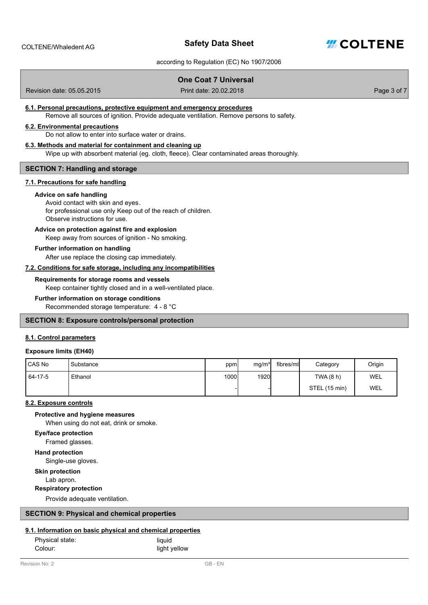

# **One Coat 7 Universal**

Revision date: 05.05.2015

Print date: 20.02.2018 **Print date:** 20.02.2018

#### **6.1. Personal precautions, protective equipment and emergency procedures**

Remove all sources of ignition. Provide adequate ventilation. Remove persons to safety.

#### **6.2. Environmental precautions**

Do not allow to enter into surface water or drains.

# **6.3. Methods and material for containment and cleaning up**

Wipe up with absorbent material (eg. cloth, fleece). Clear contaminated areas thoroughly.

#### **SECTION 7: Handling and storage**

# **7.1. Precautions for safe handling**

#### **Advice on safe handling**

#### Avoid contact with skin and eyes. for professional use only Keep out of the reach of children. Observe instructions for use.

# **Advice on protection against fire and explosion**

Keep away from sources of ignition - No smoking.

# **Further information on handling**

After use replace the closing cap immediately.

#### **7.2. Conditions for safe storage, including any incompatibilities**

#### **Requirements for storage rooms and vessels**

Keep container tightly closed and in a well-ventilated place.

# **Further information on storage conditions**

Recommended storage temperature: 4 - 8 °C

# **SECTION 8: Exposure controls/personal protection**

# **8.1. Control parameters**

#### **Exposure limits (EH40)**

| I CAS No  | Substance | ppm   | mg/m <sup>3</sup> | fibres/ml | Category      | Origin     |
|-----------|-----------|-------|-------------------|-----------|---------------|------------|
| $64-17-5$ | Ethanol   | 1000l | <b>1920</b>       |           | TWA (8 h)     | <b>WEL</b> |
|           |           |       |                   |           | STEL (15 min) | WEL        |

# **8.2. Exposure controls**

When using do not eat, drink or smoke. **Protective and hygiene measures**

# **Eye/face protection**

Framed glasses.

#### **Hand protection**

Single-use gloves.

**Skin protection**

Lab apron.

#### **Respiratory protection**

Provide adequate ventilation.

# **SECTION 9: Physical and chemical properties**

#### **9.1. Information on basic physical and chemical properties**

| Physical state: | liquid       |
|-----------------|--------------|
| Colour:         | light yellow |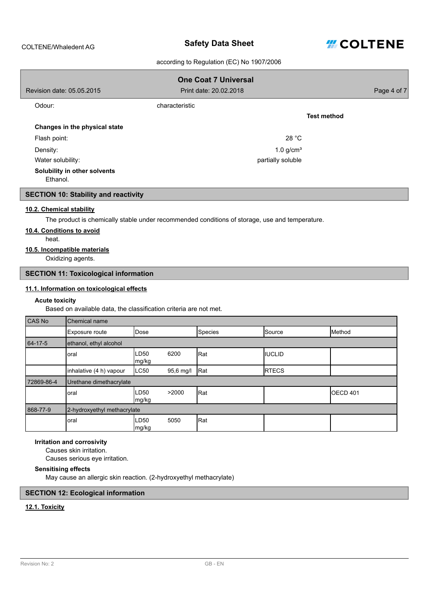# **Safety Data Sheet** COLTENE/Whaledent AG



# according to Regulation (EC) No 1907/2006

|                                          | <b>One Coat 7 Universal</b> |                    |
|------------------------------------------|-----------------------------|--------------------|
| Revision date: 05.05.2015                | Print date: 20.02.2018      | Page 4 of 7        |
| Odour:                                   | characteristic              |                    |
|                                          |                             | <b>Test method</b> |
| Changes in the physical state            |                             |                    |
| Flash point:                             | 28 °C                       |                    |
| Density:                                 | $1.0$ g/cm <sup>3</sup>     |                    |
| Water solubility:                        | partially soluble           |                    |
| Solubility in other solvents<br>Ethanol. |                             |                    |

# **SECTION 10: Stability and reactivity**

#### **10.2. Chemical stability**

The product is chemically stable under recommended conditions of storage, use and temperature.

# **10.4. Conditions to avoid**

heat.

# **10.5. Incompatible materials**

Oxidizing agents.

# **SECTION 11: Toxicological information**

#### **11.1. Information on toxicological effects**

#### **Acute toxicity**

Based on available data, the classification criteria are not met.

| CAS No     | Chemical name               |               |           |                |                |                     |
|------------|-----------------------------|---------------|-----------|----------------|----------------|---------------------|
|            | Exposure route              | Dose          |           | <b>Species</b> | Source         | Method              |
| 64-17-5    | ethanol, ethyl alcohol      |               |           |                |                |                     |
|            | oral                        | LD50<br>mg/kg | 6200      | Rat            | <b>IIUCLID</b> |                     |
|            | inhalative (4 h) vapour     | LC50          | 95,6 mg/l | Rat            | <b>RTECS</b>   |                     |
| 72869-86-4 | Urethane dimethacrylate     |               |           |                |                |                     |
|            | oral                        | LD50<br>mg/kg | >2000     | Rat            |                | OECD <sub>401</sub> |
| 868-77-9   | 2-hydroxyethyl methacrylate |               |           |                |                |                     |
|            | oral                        | LD50<br>mg/kg | 5050      | Rat            |                |                     |

# **Irritation and corrosivity**

Causes skin irritation.

Causes serious eye irritation.

# **Sensitising effects**

May cause an allergic skin reaction. (2-hydroxyethyl methacrylate)

# **SECTION 12: Ecological information**

# **12.1. Toxicity**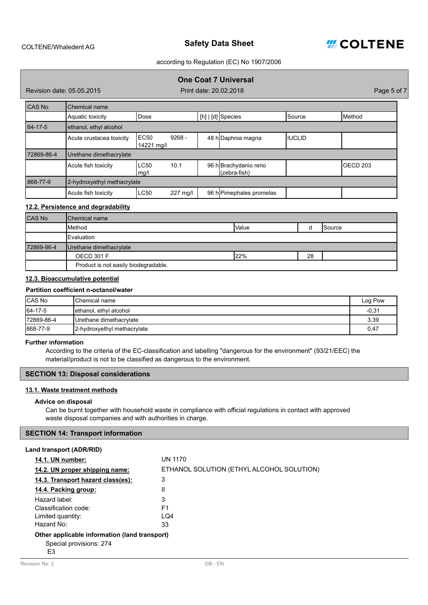

# **One Coat 7 Universal**

Revision date: 05.05.2015

Print date: 20.02.2018 **Prince 20.02.2018** Page 5 of 7

| CAS No        | Chemical name               |                     |          |  |                                        |                |                   |
|---------------|-----------------------------|---------------------|----------|--|----------------------------------------|----------------|-------------------|
|               | Aquatic toxicity            | Dose                |          |  | $[h]   [d]$ Species                    | Source         | Method            |
| $64 - 17 - 5$ | ethanol, ethyl alcohol      |                     |          |  |                                        |                |                   |
|               | Acute crustacea toxicity    | EC50<br>14221 mg/l  | $9268 -$ |  | 48 h Daphnia magna                     | <b>IIUCLID</b> |                   |
| 72869-86-4    | Urethane dimethacrylate     |                     |          |  |                                        |                |                   |
|               | Acute fish toxicity         | <b>LC50</b><br>mg/l | 10.1     |  | 96 h Brachydanio rerio<br>(zebra-fish) |                | <b>I</b> OECD 203 |
| 868-77-9      | 2-hydroxyethyl methacrylate |                     |          |  |                                        |                |                   |
|               | Acute fish toxicity         | <b>LC50</b>         | 227 mg/l |  | 96 h Pimephales promelas               |                |                   |

# **12.2. Persistence and degradability**

| <b>CAS No</b> | <b>IChemical name</b>                |       |    |                 |
|---------------|--------------------------------------|-------|----|-----------------|
|               | Method                               | Value |    | <b>I</b> Source |
|               | <b>I</b> Evaluation                  |       |    |                 |
| 72869-86-4    | Urethane dimethacrylate              |       |    |                 |
|               | <b>OECD 301 F</b>                    | 122%  | 28 |                 |
|               | Product is not easily biodegradable. |       |    |                 |

# **12.3. Bioaccumulative potential**

#### **Partition coefficient n-octanol/water**

| <b>CAS No</b> | <b>IChemical name</b>       | Log Pow |
|---------------|-----------------------------|---------|
| 64-17-5       | ethanol, ethyl alcohol      | $-0,31$ |
| 172869-86-4   | Urethane dimethacrylate     | 3.39    |
| 868-77-9      | 2-hydroxyethyl methacrylate | 0,47    |

#### **Further information**

According to the criteria of the EC-classification and labelling "dangerous for the environment" (93/21/EEC) the material/product is not to be classified as dangerous to the environment.

# **SECTION 13: Disposal considerations**

# **13.1. Waste treatment methods**

#### **Advice on disposal**

Can be burnt together with household waste in compliance with official regulations in contact with approved waste disposal companies and with authorities in charge.

#### **SECTION 14: Transport information**

| Land transport (ADR/RID)                                                       |                                           |
|--------------------------------------------------------------------------------|-------------------------------------------|
| <b>14.1. UN number:</b>                                                        | <b>UN 1170</b>                            |
| 14.2. UN proper shipping name:                                                 | ETHANOL SOLUTION (ETHYL ALCOHOL SOLUTION) |
| 14.3. Transport hazard class(es):                                              | 3                                         |
| 14.4. Packing group:                                                           | Ш                                         |
| Hazard label:                                                                  | 3                                         |
| Classification code:                                                           | F1                                        |
| Limited quantity:                                                              | LQ4                                       |
| Hazard No:                                                                     | 33                                        |
| Other applicable information (land transport)<br>Special provisions: 274<br>E3 |                                           |
| Revision No: 2                                                                 | GB-EN                                     |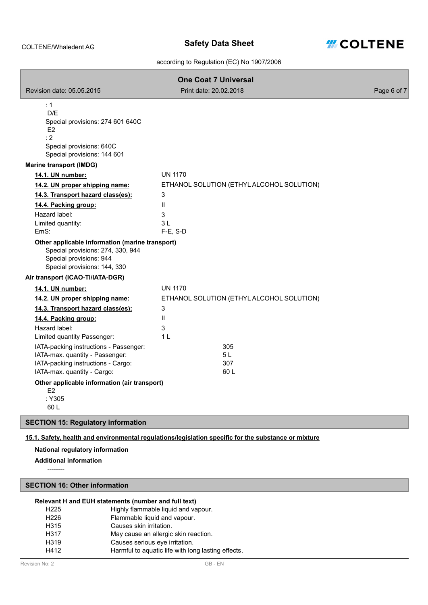

|                                                                                                                                                                                     | <b>One Coat 7 Universal</b>               |             |
|-------------------------------------------------------------------------------------------------------------------------------------------------------------------------------------|-------------------------------------------|-------------|
| Revision date: 05.05.2015                                                                                                                                                           | Print date: 20.02.2018                    | Page 6 of 7 |
| : 1<br>D/E<br>Special provisions: 274 601 640C<br>F <sub>2</sub><br>: 2<br>Special provisions: 640C<br>Special provisions: 144 601                                                  |                                           |             |
| <b>Marine transport (IMDG)</b>                                                                                                                                                      |                                           |             |
| 14.1. UN number:                                                                                                                                                                    | <b>UN 1170</b>                            |             |
| 14.2. UN proper shipping name:                                                                                                                                                      | ETHANOL SOLUTION (ETHYL ALCOHOL SOLUTION) |             |
| 14.3. Transport hazard class(es):                                                                                                                                                   | 3                                         |             |
| 14.4. Packing group:                                                                                                                                                                | $\mathbf{H}$                              |             |
| Hazard label:                                                                                                                                                                       | 3                                         |             |
| Limited quantity:<br>EmS:                                                                                                                                                           | 3 L<br>$F-E$ , S-D                        |             |
| Other applicable information (marine transport)<br>Special provisions: 274, 330, 944<br>Special provisions: 944<br>Special provisions: 144, 330<br>Air transport (ICAO-TI/IATA-DGR) |                                           |             |
| 14.1. UN number:                                                                                                                                                                    | <b>UN 1170</b>                            |             |
| 14.2. UN proper shipping name:                                                                                                                                                      | ETHANOL SOLUTION (ETHYL ALCOHOL SOLUTION) |             |
| 14.3. Transport hazard class(es):                                                                                                                                                   | 3                                         |             |
| 14.4. Packing group:                                                                                                                                                                | $\mathbf{H}$                              |             |
| Hazard label:                                                                                                                                                                       | 3                                         |             |
| Limited quantity Passenger:                                                                                                                                                         | 1 <sub>L</sub>                            |             |
| IATA-packing instructions - Passenger:                                                                                                                                              | 305                                       |             |
| IATA-max. quantity - Passenger:                                                                                                                                                     | 5 L                                       |             |
| IATA-packing instructions - Cargo:<br>IATA-max. quantity - Cargo:                                                                                                                   | 307<br>60 L                               |             |
|                                                                                                                                                                                     |                                           |             |
| Other applicable information (air transport)<br>E <sub>2</sub>                                                                                                                      |                                           |             |
| :Y305<br>60 L                                                                                                                                                                       |                                           |             |
| <b>SECTION 15: Regulatory information</b>                                                                                                                                           |                                           |             |
|                                                                                                                                                                                     |                                           |             |

# **15.1. Safety, health and environmental regulations/legislation specific for the substance or mixture**

# **National regulatory information**

**Additional information**

--------

ſ

# **SECTION 16: Other information**

# **Relevant H and EUH statements (number and full text)**

| Harmful to aquatic life with long lasting effects. |
|----------------------------------------------------|
|                                                    |